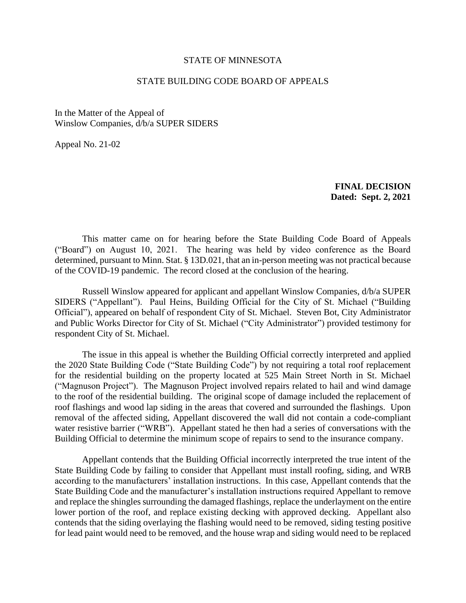## STATE OF MINNESOTA

## STATE BUILDING CODE BOARD OF APPEALS

In the Matter of the Appeal of Winslow Companies, d/b/a SUPER SIDERS

Appeal No. 21-02

**FINAL DECISION Dated: Sept. 2, 2021**

This matter came on for hearing before the State Building Code Board of Appeals ("Board") on August 10, 2021. The hearing was held by video conference as the Board determined, pursuant to Minn. Stat. § 13D.021, that an in-person meeting was not practical because of the COVID-19 pandemic. The record closed at the conclusion of the hearing.

Russell Winslow appeared for applicant and appellant Winslow Companies, d/b/a SUPER SIDERS ("Appellant"). Paul Heins, Building Official for the City of St. Michael ("Building Official"), appeared on behalf of respondent City of St. Michael. Steven Bot, City Administrator and Public Works Director for City of St. Michael ("City Administrator") provided testimony for respondent City of St. Michael.

The issue in this appeal is whether the Building Official correctly interpreted and applied the 2020 State Building Code ("State Building Code") by not requiring a total roof replacement for the residential building on the property located at 525 Main Street North in St. Michael ("Magnuson Project"). The Magnuson Project involved repairs related to hail and wind damage to the roof of the residential building. The original scope of damage included the replacement of roof flashings and wood lap siding in the areas that covered and surrounded the flashings. Upon removal of the affected siding, Appellant discovered the wall did not contain a code-compliant water resistive barrier ("WRB"). Appellant stated he then had a series of conversations with the Building Official to determine the minimum scope of repairs to send to the insurance company.

Appellant contends that the Building Official incorrectly interpreted the true intent of the State Building Code by failing to consider that Appellant must install roofing, siding, and WRB according to the manufacturers' installation instructions. In this case, Appellant contends that the State Building Code and the manufacturer's installation instructions required Appellant to remove and replace the shingles surrounding the damaged flashings, replace the underlayment on the entire lower portion of the roof, and replace existing decking with approved decking. Appellant also contends that the siding overlaying the flashing would need to be removed, siding testing positive for lead paint would need to be removed, and the house wrap and siding would need to be replaced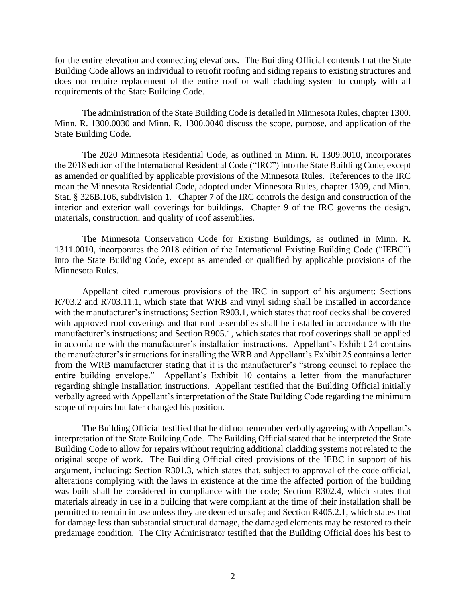for the entire elevation and connecting elevations. The Building Official contends that the State Building Code allows an individual to retrofit roofing and siding repairs to existing structures and does not require replacement of the entire roof or wall cladding system to comply with all requirements of the State Building Code.

The administration of the State Building Code is detailed in Minnesota Rules, chapter 1300. Minn. R. 1300.0030 and Minn. R. 1300.0040 discuss the scope, purpose, and application of the State Building Code.

The 2020 Minnesota Residential Code, as outlined in Minn. R. 1309.0010, incorporates the 2018 edition of the International Residential Code ("IRC") into the State Building Code, except as amended or qualified by applicable provisions of the Minnesota Rules. References to the IRC mean the Minnesota Residential Code, adopted under Minnesota Rules, chapter 1309, and Minn. Stat. § 326B.106, subdivision 1. Chapter 7 of the IRC controls the design and construction of the interior and exterior wall coverings for buildings. Chapter 9 of the IRC governs the design, materials, construction, and quality of roof assemblies.

The Minnesota Conservation Code for Existing Buildings, as outlined in Minn. R. 1311.0010, incorporates the 2018 edition of the International Existing Building Code ("IEBC") into the State Building Code, except as amended or qualified by applicable provisions of the Minnesota Rules.

Appellant cited numerous provisions of the IRC in support of his argument: Sections R703.2 and R703.11.1, which state that WRB and vinyl siding shall be installed in accordance with the manufacturer's instructions; Section R903.1, which states that roof decks shall be covered with approved roof coverings and that roof assemblies shall be installed in accordance with the manufacturer's instructions; and Section R905.1, which states that roof coverings shall be applied in accordance with the manufacturer's installation instructions. Appellant's Exhibit 24 contains the manufacturer's instructions for installing the WRB and Appellant's Exhibit 25 contains a letter from the WRB manufacturer stating that it is the manufacturer's "strong counsel to replace the entire building envelope." Appellant's Exhibit 10 contains a letter from the manufacturer regarding shingle installation instructions. Appellant testified that the Building Official initially verbally agreed with Appellant's interpretation of the State Building Code regarding the minimum scope of repairs but later changed his position.

The Building Official testified that he did not remember verbally agreeing with Appellant's interpretation of the State Building Code. The Building Official stated that he interpreted the State Building Code to allow for repairs without requiring additional cladding systems not related to the original scope of work. The Building Official cited provisions of the IEBC in support of his argument, including: Section R301.3, which states that, subject to approval of the code official, alterations complying with the laws in existence at the time the affected portion of the building was built shall be considered in compliance with the code; Section R302.4, which states that materials already in use in a building that were compliant at the time of their installation shall be permitted to remain in use unless they are deemed unsafe; and Section R405.2.1, which states that for damage less than substantial structural damage, the damaged elements may be restored to their predamage condition. The City Administrator testified that the Building Official does his best to